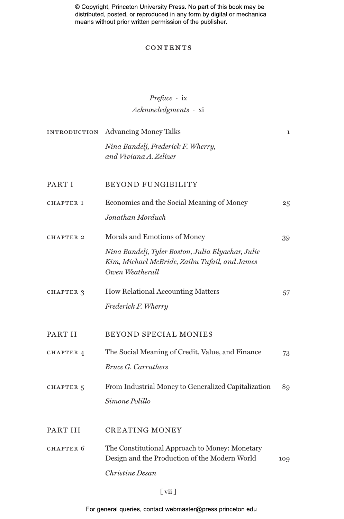© Copyright, Princeton University Press. No part of this book may be distributed, posted, or reproduced in any form by digital or mechanical means without prior written permission of the publisher.

#### CONTENTS

# *Preface ·* ix *Acknowledgments ·* xi

| <b>INTRODUCTION</b>  | <b>Advancing Money Talks</b>                                                                                                                          | $\mathbf{I}$ |
|----------------------|-------------------------------------------------------------------------------------------------------------------------------------------------------|--------------|
|                      | Nina Bandelj, Frederick F. Wherry,<br>and Viviana A. Zelizer                                                                                          |              |
| PART I               | <b>BEYOND FUNGIBILITY</b>                                                                                                                             |              |
| <b>CHAPTER 1</b>     | Economics and the Social Meaning of Money<br>Jonathan Morduch                                                                                         | 25           |
| CHAPTER <sub>2</sub> | Morals and Emotions of Money<br>Nina Bandelj, Tyler Boston, Julia Elyachar, Julie<br>Kim, Michael McBride, Zaibu Tufail, and James<br>Owen Weatherall | 39           |
| CHAPTER 3            | <b>How Relational Accounting Matters</b><br>Frederick F. Wherry                                                                                       | 57           |
| PART II              | <b>BEYOND SPECIAL MONIES</b>                                                                                                                          |              |
| <b>CHAPTER 4</b>     | The Social Meaning of Credit, Value, and Finance<br><b>Bruce G. Carruthers</b>                                                                        | 73           |
| CHAPTER <sub>5</sub> | From Industrial Money to Generalized Capitalization<br>Simone Polillo                                                                                 | 89           |
| PART III             | <b>CREATING MONEY</b>                                                                                                                                 |              |
| CHAPTER 6            | The Constitutional Approach to Money: Monetary<br>Design and the Production of the Modern World<br>Christine Desan                                    | 109          |

### [ vii ]

For general queries, contact webmaster@press.princeton.edu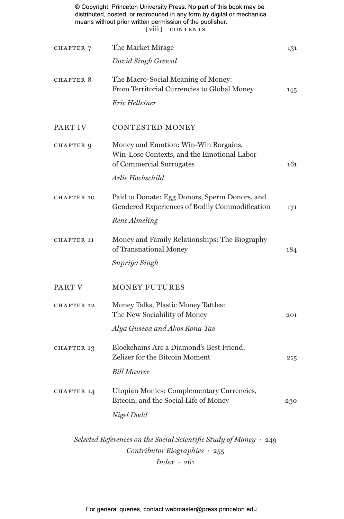|                   | © Copyright, Princeton University Press. No part of this book may be<br>distributed, posted, or reproduced in any form by digital or mechanical<br>means without prior written permission of the publisher.<br>$\lceil \nabla$ viii $\rceil$<br>CONTENTS |     |
|-------------------|----------------------------------------------------------------------------------------------------------------------------------------------------------------------------------------------------------------------------------------------------------|-----|
| <b>CHAPTER 7</b>  | The Market Mirage                                                                                                                                                                                                                                        | 131 |
|                   | David Singh Grewal                                                                                                                                                                                                                                       |     |
| CHAPTER 8         | The Macro-Social Meaning of Money:<br>From Territorial Currencies to Global Money                                                                                                                                                                        | 145 |
|                   | Eric Helleiner                                                                                                                                                                                                                                           |     |
| PART IV           | <b>CONTESTED MONEY</b>                                                                                                                                                                                                                                   |     |
| CHAPTER 9         | Money and Emotion: Win-Win Bargains,<br>Win-Lose Contexts, and the Emotional Labor<br>of Commercial Surrogates                                                                                                                                           | 161 |
|                   | Arlie Hochschild                                                                                                                                                                                                                                         |     |
| <b>CHAPTER 10</b> | Paid to Donate: Egg Donors, Sperm Donors, and<br>Gendered Experiences of Bodily Commodification                                                                                                                                                          | 171 |
|                   | Rene Almeling                                                                                                                                                                                                                                            |     |
| CHAPTER 11        | Money and Family Relationships: The Biography<br>of Transnational Money                                                                                                                                                                                  | 184 |
|                   | Supriya Singh                                                                                                                                                                                                                                            |     |
| PART V            | <b>MONEY FUTURES</b>                                                                                                                                                                                                                                     |     |
| <b>CHAPTER 12</b> | Money Talks, Plastic Money Tattles:<br>The New Sociability of Money                                                                                                                                                                                      | 201 |
|                   | Alya Guseva and Akos Rona-Tas                                                                                                                                                                                                                            |     |
| CHAPTER 13        | Blockchains Are a Diamond's Best Friend:<br>Zelizer for the Bitcoin Moment                                                                                                                                                                               | 215 |
|                   | Bill Maurer                                                                                                                                                                                                                                              |     |
| <b>CHAPTER 14</b> | Utopian Monies: Complementary Currencies,<br>Bitcoin, and the Social Life of Money                                                                                                                                                                       | 230 |
|                   | Nigel Dodd                                                                                                                                                                                                                                               |     |
|                   | Selected References on the Social Scientific Study of Money $\cdot$ 249                                                                                                                                                                                  |     |
|                   | Contributor Biographies $\cdot$ 255                                                                                                                                                                                                                      |     |

*Index ·* 261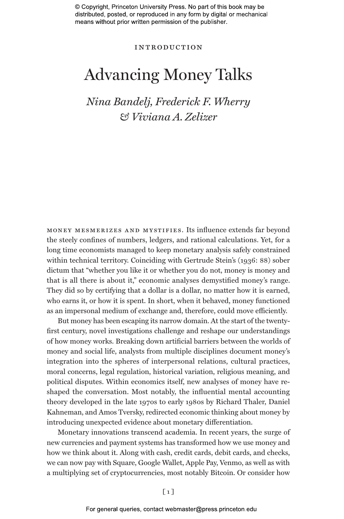© Copyright, Princeton University Press. No part of this book may be distributed, posted, or reproduced in any form by digital or mechanical means without prior written permission of the publisher.

#### Introduction

# Advancing Money Talks

*Nina Bandelj, Frederick F. Wherry & Viviana A. Zelizer*

Money mesmerizes and mystifies. Its influence extends far beyond the steely confines of numbers, ledgers, and rational calculations. Yet, for a long time economists managed to keep monetary analysis safely constrained within technical territory. Coinciding with Gertrude Stein's (1936: 88) sober dictum that "whether you like it or whether you do not, money is money and that is all there is about it," economic analyses demystified money's range. They did so by certifying that a dollar is a dollar, no matter how it is earned, who earns it, or how it is spent. In short, when it behaved, money functioned as an impersonal medium of exchange and, therefore, could move efficiently.

But money has been escaping its narrow domain. At the start of the twentyfirst century, novel investigations challenge and reshape our understandings of how money works. Breaking down artificial barriers between the worlds of money and social life, analysts from multiple disciplines document money's integration into the spheres of interpersonal relations, cultural practices, moral concerns, legal regulation, historical variation, religious meaning, and political disputes. Within economics itself, new analyses of money have reshaped the conversation. Most notably, the influential mental accounting theory developed in the late 1970s to early 1980s by Richard Thaler, Daniel Kahneman, and Amos Tversky, redirected economic thinking about money by introducing unexpected evidence about monetary differentiation.

Monetary innovations transcend academia. In recent years, the surge of new currencies and payment systems has transformed how we use money and how we think about it. Along with cash, credit cards, debit cards, and checks, we can now pay with Square, Google Wallet, Apple Pay, Venmo, as well as with a multiplying set of cryptocurrencies, most notably Bitcoin. Or consider how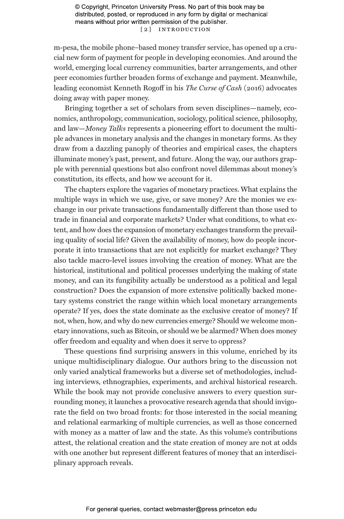© Copyright, Princeton University Press. No part of this book may be distributed, posted, or reproduced in any form by digital or mechanical means without prior written permission of the publisher. [ 2 ] Introduction

m-pesa, the mobile phone–based money transfer service, has opened up a crucial new form of payment for people in developing economies. And around the world, emerging local currency communities, barter arrangements, and other peer economies further broaden forms of exchange and payment. Meanwhile, leading economist Kenneth Rogoff in his *The Curse of Cash* (2016) advocates doing away with paper money.

Bringing together a set of scholars from seven disciplines—namely, economics, anthropology, communication, sociology, political science, philosophy, and law—*Money Talks* represents a pioneering effort to document the multiple advances in monetary analysis and the changes in monetary forms. As they draw from a dazzling panoply of theories and empirical cases, the chapters illuminate money's past, present, and future. Along the way, our authors grapple with perennial questions but also confront novel dilemmas about money's constitution, its effects, and how we account for it.

The chapters explore the vagaries of monetary practices. What explains the multiple ways in which we use, give, or save money? Are the monies we exchange in our private transactions fundamentally different than those used to trade in financial and corporate markets? Under what conditions, to what extent, and how does the expansion of monetary exchanges transform the prevailing quality of social life? Given the availability of money, how do people incorporate it into transactions that are not explicitly for market exchange? They also tackle macro-level issues involving the creation of money. What are the historical, institutional and political processes underlying the making of state money, and can its fungibility actually be understood as a political and legal construction? Does the expansion of more extensive politically backed monetary systems constrict the range within which local monetary arrangements operate? If yes, does the state dominate as the exclusive creator of money? If not, when, how, and why do new currencies emerge? Should we welcome monetary innovations, such as Bitcoin, or should we be alarmed? When does money offer freedom and equality and when does it serve to oppress?

These questions find surprising answers in this volume, enriched by its unique multidisciplinary dialogue. Our authors bring to the discussion not only varied analytical frameworks but a diverse set of methodologies, including interviews, ethnographies, experiments, and archival historical research. While the book may not provide conclusive answers to every question surrounding money, it launches a provocative research agenda that should invigorate the field on two broad fronts: for those interested in the social meaning and relational earmarking of multiple currencies, as well as those concerned with money as a matter of law and the state. As this volume's contributions attest, the relational creation and the state creation of money are not at odds with one another but represent different features of money that an interdisciplinary approach reveals.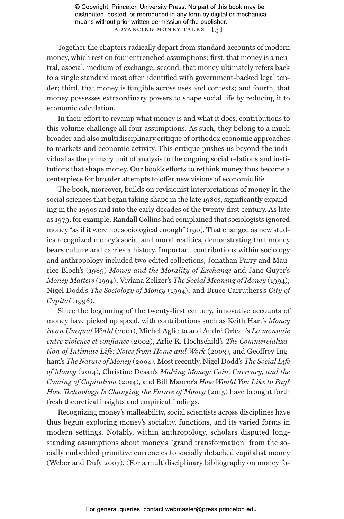© Copyright, Princeton University Press. No part of this book may be distributed, posted, or reproduced in any form by digital or mechanical means without prior written permission of the publisher. Advancing Money Talks [ 3 ]

Together the chapters radically depart from standard accounts of modern money, which rest on four entrenched assumptions: first, that money is a neutral, asocial, medium of exchange; second, that money ultimately refers back to a single standard most often identified with government-backed legal tender; third, that money is fungible across uses and contexts; and fourth, that money possesses extraordinary powers to shape social life by reducing it to economic calculation.

In their effort to revamp what money is and what it does, contributions to this volume challenge all four assumptions. As such, they belong to a much broader and also multidisciplinary critique of orthodox economic approaches to markets and economic activity. This critique pushes us beyond the individual as the primary unit of analysis to the ongoing social relations and institutions that shape money. Our book's efforts to rethink money thus become a centerpiece for broader attempts to offer new visions of economic life.

The book, moreover, builds on revisionist interpretations of money in the social sciences that began taking shape in the late 1980s, significantly expanding in the 1990s and into the early decades of the twenty-first century. As late as 1979, for example, Randall Collins had complained that sociologists ignored money "as if it were not sociological enough" (190). That changed as new studies recognized money's social and moral realities, demonstrating that money bears culture and carries a history. Important contributions within sociology and anthropology included two edited collections, Jonathan Parry and Maurice Bloch's (1989) *Money and the Morality of Exchange* and Jane Guyer's *Money Matters* (1994); Viviana Zelizer's *The Social Meaning of Money* (1994); Nigel Dodd's *The Sociology of Money* (1994); and Bruce Carruthers's *City of Capital* (1996).

Since the beginning of the twenty-first century, innovative accounts of money have picked up speed, with contributions such as Keith Hart's *Money in an Unequal World* (2001), Michel Aglietta and André Orléan's *La monnaie entre violence et confiance* (2002), Arlie R. Hochschild's *The Commercialization of Intimate Life: Notes from Home and Work* (2003), and Geoffrey Ingham's *The Nature of Money* (2004). Most recently, Nigel Dodd's *The Social Life of Money* (2014), Christine Desan's *Making Money: Coin, Currency, and the Coming of Capitalism* (2014), and Bill Maurer's *How Would You Like to Pay? How Technology Is Changing the Future of Money* (2015) have brought forth fresh theoretical insights and empirical findings.

Recognizing money's malleability, social scientists across disciplines have thus begun exploring money's sociality, functions, and its varied forms in modern settings. Notably, within anthropology, scholars disputed longstanding assumptions about money's "grand transformation" from the socially embedded primitive currencies to socially detached capitalist money (Weber and Dufy 2007). (For a multidisciplinary bibliography on money fo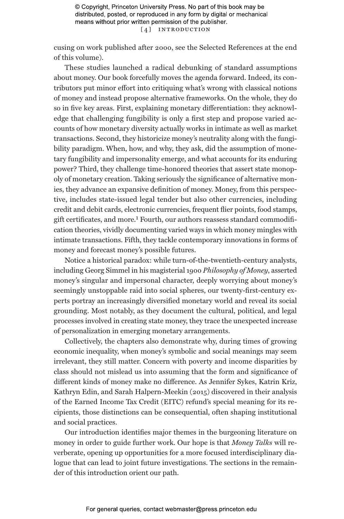© Copyright, Princeton University Press. No part of this book may be distributed, posted, or reproduced in any form by digital or mechanical means without prior written permission of the publisher. [4] INTRODUCTION

cusing on work published after 2000, see the Selected References at the end of this volume).

These studies launched a radical debunking of standard assumptions about money. Our book forcefully moves the agenda forward. Indeed, its contributors put minor effort into critiquing what's wrong with classical notions of money and instead propose alternative frameworks. On the whole, they do so in five key areas. First, explaining monetary differentiation: they acknowledge that challenging fungibility is only a first step and propose varied accounts of how monetary diversity actually works in intimate as well as market transactions. Second, they historicize money's neutrality along with the fungibility paradigm. When, how, and why, they ask, did the assumption of monetary fungibility and impersonality emerge, and what accounts for its enduring power? Third, they challenge time-honored theories that assert state monopoly of monetary creation. Taking seriously the significance of alternative monies, they advance an expansive definition of money. Money, from this perspective, includes state-issued legal tender but also other currencies, including credit and debit cards, electronic currencies, frequent flier points, food stamps, gift certificates, and more.1 Fourth, our authors reassess standard commodification theories, vividly documenting varied ways in which money mingles with intimate transactions. Fifth, they tackle contemporary innovations in forms of money and forecast money's possible futures.

Notice a historical paradox: while turn-of-the-twentieth-century analysts, including Georg Simmel in his magisterial 1900 *Philosophy of Money*, asserted money's singular and impersonal character, deeply worrying about money's seemingly unstoppable raid into social spheres, our twenty-first-century experts portray an increasingly diversified monetary world and reveal its social grounding. Most notably, as they document the cultural, political, and legal processes involved in creating state money, they trace the unexpected increase of personalization in emerging monetary arrangements.

Collectively, the chapters also demonstrate why, during times of growing economic inequality, when money's symbolic and social meanings may seem irrelevant, they still matter. Concern with poverty and income disparities by class should not mislead us into assuming that the form and significance of different kinds of money make no difference. As Jennifer Sykes, Katrin Kriz, Kathryn Edin, and Sarah Halpern-Meekin (2015) discovered in their analysis of the Earned Income Tax Credit (EITC) refund's special meaning for its recipients, those distinctions can be consequential, often shaping institutional and social practices.

Our introduction identifies major themes in the burgeoning literature on money in order to guide further work. Our hope is that *Money Talks* will reverberate, opening up opportunities for a more focused interdisciplinary dialogue that can lead to joint future investigations. The sections in the remainder of this introduction orient our path.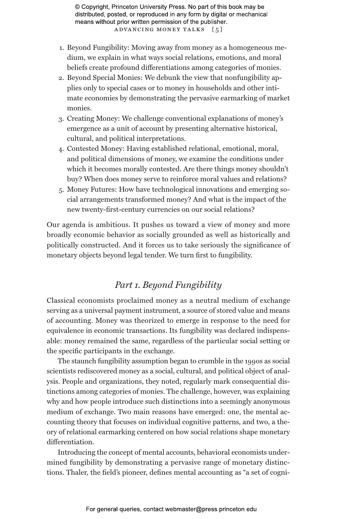© Copyright, Princeton University Press. No part of this book may be distributed, posted, or reproduced in any form by digital or mechanical means without prior written permission of the publisher. Advancing Money Talks [ 5 ]

- 1. Beyond Fungibility: Moving away from money as a homogeneous medium, we explain in what ways social relations, emotions, and moral beliefs create profound differentiations among categories of monies.
- 2. Beyond Special Monies: We debunk the view that nonfungibility applies only to special cases or to money in households and other intimate economies by demonstrating the pervasive earmarking of market monies.
- 3. Creating Money: We challenge conventional explanations of money's emergence as a unit of account by presenting alternative historical, cultural, and political interpretations.
- 4. Contested Money: Having established relational, emotional, moral, and political dimensions of money, we examine the conditions under which it becomes morally contested. Are there things money shouldn't buy? When does money serve to reinforce moral values and relations?
- 5. Money Futures: How have technological innovations and emerging social arrangements transformed money? And what is the impact of the new twenty-first-century currencies on our social relations?

Our agenda is ambitious. It pushes us toward a view of money and more broadly economic behavior as socially grounded as well as historically and politically constructed. And it forces us to take seriously the significance of monetary objects beyond legal tender. We turn first to fungibility.

## *Part 1. Beyond Fungibility*

Classical economists proclaimed money as a neutral medium of exchange serving as a universal payment instrument, a source of stored value and means of accounting. Money was theorized to emerge in response to the need for equivalence in economic transactions. Its fungibility was declared indispensable: money remained the same, regardless of the particular social setting or the specific participants in the exchange.

The staunch fungibility assumption began to crumble in the 1990s as social scientists rediscovered money as a social, cultural, and political object of analysis. People and organizations, they noted, regularly mark consequential distinctions among categories of monies. The challenge, however, was explaining why and how people introduce such distinctions into a seemingly anonymous medium of exchange. Two main reasons have emerged: one, the mental accounting theory that focuses on individual cognitive patterns, and two, a theory of relational earmarking centered on how social relations shape monetary differentiation.

Introducing the concept of mental accounts, behavioral economists undermined fungibility by demonstrating a pervasive range of monetary distinctions. Thaler, the field's pioneer, defines mental accounting as "a set of cogni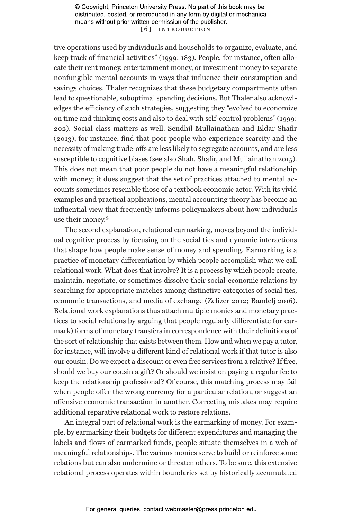© Copyright, Princeton University Press. No part of this book may be distributed, posted, or reproduced in any form by digital or mechanical means without prior written permission of the publisher. [6] INTRODUCTION

tive operations used by individuals and households to organize, evaluate, and keep track of financial activities" (1999: 183). People, for instance, often allocate their rent money, entertainment money, or investment money to separate nonfungible mental accounts in ways that influence their consumption and savings choices. Thaler recognizes that these budgetary compartments often lead to questionable, suboptimal spending decisions. But Thaler also acknowledges the efficiency of such strategies, suggesting they "evolved to economize on time and thinking costs and also to deal with self-control problems" (1999: 202). Social class matters as well. Sendhil Mullainathan and Eldar Shafir (2013), for instance, find that poor people who experience scarcity and the necessity of making trade-offs are less likely to segregate accounts, and are less susceptible to cognitive biases (see also Shah, Shafir, and Mullainathan 2015). This does not mean that poor people do not have a meaningful relationship with money; it does suggest that the set of practices attached to mental accounts sometimes resemble those of a textbook economic actor. With its vivid examples and practical applications, mental accounting theory has become an influential view that frequently informs policymakers about how individuals use their money.<sup>2</sup>

The second explanation, relational earmarking, moves beyond the individual cognitive process by focusing on the social ties and dynamic interactions that shape how people make sense of money and spending. Earmarking is a practice of monetary differentiation by which people accomplish what we call relational work. What does that involve? It is a process by which people create, maintain, negotiate, or sometimes dissolve their social-economic relations by searching for appropriate matches among distinctive categories of social ties, economic transactions, and media of exchange (Zelizer 2012; Bandelj 2016). Relational work explanations thus attach multiple monies and monetary practices to social relations by arguing that people regularly differentiate (or earmark) forms of monetary transfers in correspondence with their definitions of the sort of relationship that exists between them. How and when we pay a tutor, for instance, will involve a different kind of relational work if that tutor is also our cousin. Do we expect a discount or even free services from a relative? If free, should we buy our cousin a gift? Or should we insist on paying a regular fee to keep the relationship professional? Of course, this matching process may fail when people offer the wrong currency for a particular relation, or suggest an offensive economic transaction in another. Correcting mistakes may require additional reparative relational work to restore relations.

An integral part of relational work is the earmarking of money. For example, by earmarking their budgets for different expenditures and managing the labels and flows of earmarked funds, people situate themselves in a web of meaningful relationships. The various monies serve to build or reinforce some relations but can also undermine or threaten others. To be sure, this extensive relational process operates within boundaries set by historically accumulated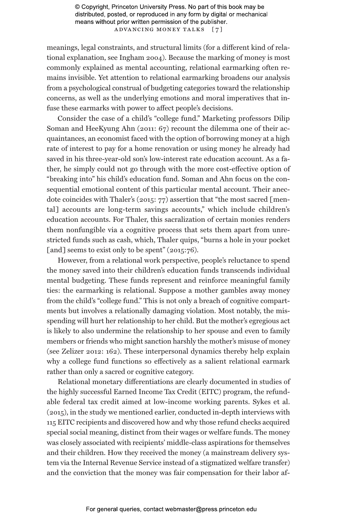© Copyright, Princeton University Press. No part of this book may be distributed, posted, or reproduced in any form by digital or mechanical means without prior written permission of the publisher. Advancing Money Talks [ 7 ]

meanings, legal constraints, and structural limits (for a different kind of relational explanation, see Ingham 2004). Because the marking of money is most commonly explained as mental accounting, relational earmarking often remains invisible. Yet attention to relational earmarking broadens our analysis from a psychological construal of budgeting categories toward the relationship concerns, as well as the underlying emotions and moral imperatives that infuse these earmarks with power to affect people's decisions.

Consider the case of a child's "college fund." Marketing professors Dilip Soman and HeeKyung Ahn (2011: 67) recount the dilemma one of their acquaintances, an economist faced with the option of borrowing money at a high rate of interest to pay for a home renovation or using money he already had saved in his three-year-old son's low-interest rate education account. As a father, he simply could not go through with the more cost-effective option of "breaking into" his child's education fund. Soman and Ahn focus on the consequential emotional content of this particular mental account. Their anecdote coincides with Thaler's (2015: 77) assertion that "the most sacred [mental] accounts are long-term savings accounts," which include children's education accounts. For Thaler, this sacralization of certain monies renders them nonfungible via a cognitive process that sets them apart from unrestricted funds such as cash, which, Thaler quips, "burns a hole in your pocket [and] seems to exist only to be spent"  $(2015:76)$ .

However, from a relational work perspective, people's reluctance to spend the money saved into their children's education funds transcends individual mental budgeting. These funds represent and reinforce meaningful family ties: the earmarking is relational. Suppose a mother gambles away money from the child's "college fund." This is not only a breach of cognitive compartments but involves a relationally damaging violation. Most notably, the misspending will hurt her relationship to her child. But the mother's egregious act is likely to also undermine the relationship to her spouse and even to family members or friends who might sanction harshly the mother's misuse of money (see Zelizer 2012: 162). These interpersonal dynamics thereby help explain why a college fund functions so effectively as a salient relational earmark rather than only a sacred or cognitive category.

Relational monetary differentiations are clearly documented in studies of the highly successful Earned Income Tax Credit (EITC) program, the refundable federal tax credit aimed at low-income working parents. Sykes et al. (2015), in the study we mentioned earlier, conducted in-depth interviews with 115 EITC recipients and discovered how and why those refund checks acquired special social meaning, distinct from their wages or welfare funds. The money was closely associated with recipients' middle-class aspirations for themselves and their children. How they received the money (a mainstream delivery system via the Internal Revenue Service instead of a stigmatized welfare transfer) and the conviction that the money was fair compensation for their labor af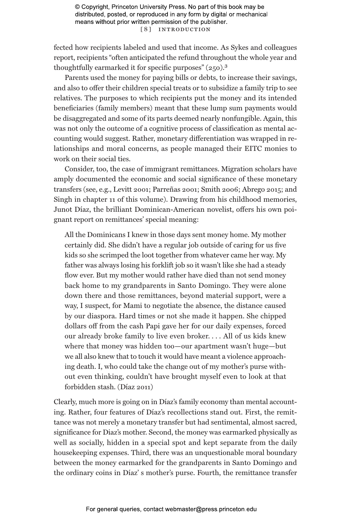© Copyright, Princeton University Press. No part of this book may be distributed, posted, or reproduced in any form by digital or mechanical means without prior written permission of the publisher. [ 8 ] Introduction

fected how recipients labeled and used that income. As Sykes and colleagues report, recipients "often anticipated the refund throughout the whole year and thoughtfully earmarked it for specific purposes" (250).3

Parents used the money for paying bills or debts, to increase their savings, and also to offer their children special treats or to subsidize a family trip to see relatives. The purposes to which recipients put the money and its intended beneficiaries (family members) meant that these lump sum payments would be disaggregated and some of its parts deemed nearly nonfungible. Again, this was not only the outcome of a cognitive process of classification as mental accounting would suggest. Rather, monetary differentiation was wrapped in relationships and moral concerns, as people managed their EITC monies to work on their social ties.

Consider, too, the case of immigrant remittances. Migration scholars have amply documented the economic and social significance of these monetary transfers (see, e.g., Levitt 2001; Parreñas 2001; Smith 2006; Abrego 2015; and Singh in chapter 11 of this volume). Drawing from his childhood memories, Junot Díaz, the brilliant Dominican-American novelist, offers his own poignant report on remittances' special meaning:

All the Dominicans I knew in those days sent money home. My mother certainly did. She didn't have a regular job outside of caring for us five kids so she scrimped the loot together from whatever came her way. My father was always losing his forklift job so it wasn't like she had a steady flow ever. But my mother would rather have died than not send money back home to my grandparents in Santo Domingo. They were alone down there and those remittances, beyond material support, were a way, I suspect, for Mami to negotiate the absence, the distance caused by our diaspora. Hard times or not she made it happen. She chipped dollars off from the cash Papi gave her for our daily expenses, forced our already broke family to live even broker. . . . All of us kids knew where that money was hidden too—our apartment wasn't huge—but we all also knew that to touch it would have meant a violence approaching death. I, who could take the change out of my mother's purse without even thinking, couldn't have brought myself even to look at that forbidden stash. (Díaz 2011)

Clearly, much more is going on in Díaz's family economy than mental accounting. Rather, four features of Díaz's recollections stand out. First, the remittance was not merely a monetary transfer but had sentimental, almost sacred, significance for Diaz's mother. Second, the money was earmarked physically as well as socially, hidden in a special spot and kept separate from the daily housekeeping expenses. Third, there was an unquestionable moral boundary between the money earmarked for the grandparents in Santo Domingo and the ordinary coins in Díaz' s mother's purse. Fourth, the remittance transfer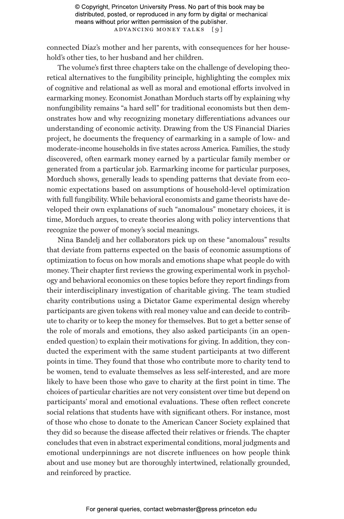© Copyright, Princeton University Press. No part of this book may be distributed, posted, or reproduced in any form by digital or mechanical means without prior written permission of the publisher. Advancing Money Talks [ 9 ]

connected Díaz's mother and her parents, with consequences for her household's other ties, to her husband and her children.

The volume's first three chapters take on the challenge of developing theoretical alternatives to the fungibility principle, highlighting the complex mix of cognitive and relational as well as moral and emotional efforts involved in earmarking money. Economist Jonathan Morduch starts off by explaining why nonfungibility remains "a hard sell" for traditional economists but then demonstrates how and why recognizing monetary differentiations advances our understanding of economic activity. Drawing from the US Financial Diaries project, he documents the frequency of earmarking in a sample of low- and moderate-income households in five states across America. Families, the study discovered, often earmark money earned by a particular family member or generated from a particular job. Earmarking income for particular purposes, Morduch shows, generally leads to spending patterns that deviate from economic expectations based on assumptions of household-level optimization with full fungibility. While behavioral economists and game theorists have developed their own explanations of such "anomalous" monetary choices, it is time, Morduch argues, to create theories along with policy interventions that recognize the power of money's social meanings.

Nina Bandelj and her collaborators pick up on these "anomalous" results that deviate from patterns expected on the basis of economic assumptions of optimization to focus on how morals and emotions shape what people do with money. Their chapter first reviews the growing experimental work in psychology and behavioral economics on these topics before they report findings from their interdisciplinary investigation of charitable giving. The team studied charity contributions using a Dictator Game experimental design whereby participants are given tokens with real money value and can decide to contribute to charity or to keep the money for themselves. But to get a better sense of the role of morals and emotions, they also asked participants (in an openended question) to explain their motivations for giving. In addition, they conducted the experiment with the same student participants at two different points in time. They found that those who contribute more to charity tend to be women, tend to evaluate themselves as less self-interested, and are more likely to have been those who gave to charity at the first point in time. The choices of particular charities are not very consistent over time but depend on participants' moral and emotional evaluations. These often reflect concrete social relations that students have with significant others. For instance, most of those who chose to donate to the American Cancer Society explained that they did so because the disease affected their relatives or friends. The chapter concludes that even in abstract experimental conditions, moral judgments and emotional underpinnings are not discrete influences on how people think about and use money but are thoroughly intertwined, relationally grounded, and reinforced by practice.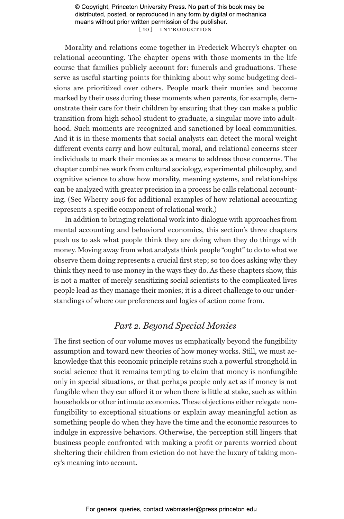© Copyright, Princeton University Press. No part of this book may be distributed, posted, or reproduced in any form by digital or mechanical means without prior written permission of the publisher. [10] INTRODUCTION

Morality and relations come together in Frederick Wherry's chapter on relational accounting. The chapter opens with those moments in the life course that families publicly account for: funerals and graduations. These serve as useful starting points for thinking about why some budgeting decisions are prioritized over others. People mark their monies and become marked by their uses during these moments when parents, for example, demonstrate their care for their children by ensuring that they can make a public transition from high school student to graduate, a singular move into adulthood. Such moments are recognized and sanctioned by local communities. And it is in these moments that social analysts can detect the moral weight different events carry and how cultural, moral, and relational concerns steer individuals to mark their monies as a means to address those concerns. The chapter combines work from cultural sociology, experimental philosophy, and cognitive science to show how morality, meaning systems, and relationships can be analyzed with greater precision in a process he calls relational accounting. (See Wherry 2016 for additional examples of how relational accounting represents a specific component of relational work.)

In addition to bringing relational work into dialogue with approaches from mental accounting and behavioral economics, this section's three chapters push us to ask what people think they are doing when they do things with money. Moving away from what analysts think people "ought" to do to what we observe them doing represents a crucial first step; so too does asking why they think they need to use money in the ways they do. As these chapters show, this is not a matter of merely sensitizing social scientists to the complicated lives people lead as they manage their monies; it is a direct challenge to our understandings of where our preferences and logics of action come from.

## *Part 2. Beyond Special Monies*

The first section of our volume moves us emphatically beyond the fungibility assumption and toward new theories of how money works. Still, we must acknowledge that this economic principle retains such a powerful stronghold in social science that it remains tempting to claim that money is nonfungible only in special situations, or that perhaps people only act as if money is not fungible when they can afford it or when there is little at stake, such as within households or other intimate economies. These objections either relegate nonfungibility to exceptional situations or explain away meaningful action as something people do when they have the time and the economic resources to indulge in expressive behaviors. Otherwise, the perception still lingers that business people confronted with making a profit or parents worried about sheltering their children from eviction do not have the luxury of taking money's meaning into account.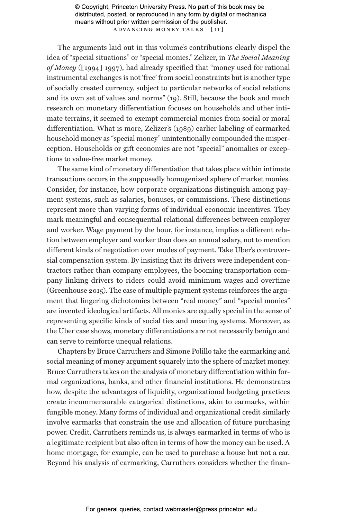© Copyright, Princeton University Press. No part of this book may be distributed, posted, or reproduced in any form by digital or mechanical means without prior written permission of the publisher. Advancing Money Talks [ 11 ]

The arguments laid out in this volume's contributions clearly dispel the idea of "special situations" or "special monies." Zelizer, in *The Social Meaning of Money* ([1994] 1997), had already specified that "money used for rational instrumental exchanges is not 'free' from social constraints but is another type of socially created currency, subject to particular networks of social relations and its own set of values and norms" (19). Still, because the book and much research on monetary differentiation focuses on households and other intimate terrains, it seemed to exempt commercial monies from social or moral differentiation. What is more, Zelizer's (1989) earlier labeling of earmarked household money as "special money" unintentionally compounded the misperception. Households or gift economies are not "special" anomalies or exceptions to value-free market money.

The same kind of monetary differentiation that takes place within intimate transactions occurs in the supposedly homogenized sphere of market monies. Consider, for instance, how corporate organizations distinguish among payment systems, such as salaries, bonuses, or commissions. These distinctions represent more than varying forms of individual economic incentives. They mark meaningful and consequential relational differences between employer and worker. Wage payment by the hour, for instance, implies a different relation between employer and worker than does an annual salary, not to mention different kinds of negotiation over modes of payment. Take Uber's controversial compensation system. By insisting that its drivers were independent contractors rather than company employees, the booming transportation company linking drivers to riders could avoid minimum wages and overtime (Greenhouse 2015). The case of multiple payment systems reinforces the argument that lingering dichotomies between "real money" and "special monies" are invented ideological artifacts. All monies are equally special in the sense of representing specific kinds of social ties and meaning systems. Moreover, as the Uber case shows, monetary differentiations are not necessarily benign and can serve to reinforce unequal relations.

Chapters by Bruce Carruthers and Simone Polillo take the earmarking and social meaning of money argument squarely into the sphere of market money. Bruce Carruthers takes on the analysis of monetary differentiation within formal organizations, banks, and other financial institutions. He demonstrates how, despite the advantages of liquidity, organizational budgeting practices create incommensurable categorical distinctions, akin to earmarks, within fungible money. Many forms of individual and organizational credit similarly involve earmarks that constrain the use and allocation of future purchasing power. Credit, Carruthers reminds us, is always earmarked in terms of who is a legitimate recipient but also often in terms of how the money can be used. A home mortgage, for example, can be used to purchase a house but not a car. Beyond his analysis of earmarking, Carruthers considers whether the finan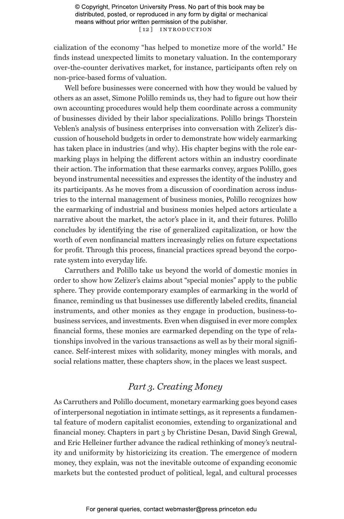© Copyright, Princeton University Press. No part of this book may be distributed, posted, or reproduced in any form by digital or mechanical means without prior written permission of the publisher. [12] INTRODUCTION

cialization of the economy "has helped to monetize more of the world." He finds instead unexpected limits to monetary valuation. In the contemporary over-the-counter derivatives market, for instance, participants often rely on non-price-based forms of valuation.

Well before businesses were concerned with how they would be valued by others as an asset, Simone Polillo reminds us, they had to figure out how their own accounting procedures would help them coordinate across a community of businesses divided by their labor specializations. Polillo brings Thorstein Veblen's analysis of business enterprises into conversation with Zelizer's discussion of household budgets in order to demonstrate how widely earmarking has taken place in industries (and why). His chapter begins with the role earmarking plays in helping the different actors within an industry coordinate their action. The information that these earmarks convey, argues Polillo, goes beyond instrumental necessities and expresses the identity of the industry and its participants. As he moves from a discussion of coordination across industries to the internal management of business monies, Polillo recognizes how the earmarking of industrial and business monies helped actors articulate a narrative about the market, the actor's place in it, and their futures. Polillo concludes by identifying the rise of generalized capitalization, or how the worth of even nonfinancial matters increasingly relies on future expectations for profit. Through this process, financial practices spread beyond the corporate system into everyday life.

Carruthers and Polillo take us beyond the world of domestic monies in order to show how Zelizer's claims about "special monies" apply to the public sphere. They provide contemporary examples of earmarking in the world of finance, reminding us that businesses use differently labeled credits, financial instruments, and other monies as they engage in production, business-tobusiness services, and investments. Even when disguised in ever more complex financial forms, these monies are earmarked depending on the type of relationships involved in the various transactions as well as by their moral significance. Self-interest mixes with solidarity, money mingles with morals, and social relations matter, these chapters show, in the places we least suspect.

# *Part 3. Creating Money*

As Carruthers and Polillo document, monetary earmarking goes beyond cases of interpersonal negotiation in intimate settings, as it represents a fundamental feature of modern capitalist economies, extending to organizational and financial money. Chapters in part 3 by Christine Desan, David Singh Grewal, and Eric Helleiner further advance the radical rethinking of money's neutrality and uniformity by historicizing its creation. The emergence of modern money, they explain, was not the inevitable outcome of expanding economic markets but the contested product of political, legal, and cultural processes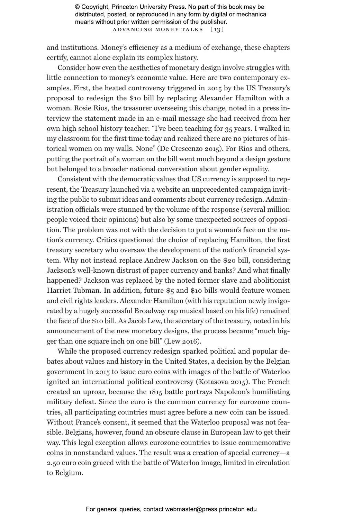© Copyright, Princeton University Press. No part of this book may be distributed, posted, or reproduced in any form by digital or mechanical means without prior written permission of the publisher. Advancing Money Talks [ 13 ]

and institutions. Money's efficiency as a medium of exchange, these chapters certify, cannot alone explain its complex history.

Consider how even the aesthetics of monetary design involve struggles with little connection to money's economic value. Here are two contemporary examples. First, the heated controversy triggered in 2015 by the US Treasury's proposal to redesign the \$10 bill by replacing Alexander Hamilton with a woman. Rosie Rios, the treasurer overseeing this change, noted in a press interview the statement made in an e-mail message she had received from her own high school history teacher: "I've been teaching for 35 years. I walked in my classroom for the first time today and realized there are no pictures of historical women on my walls. None" (De Crescenzo 2015). For Rios and others, putting the portrait of a woman on the bill went much beyond a design gesture but belonged to a broader national conversation about gender equality.

Consistent with the democratic values that US currency is supposed to represent, the Treasury launched via a website an unprecedented campaign inviting the public to submit ideas and comments about currency redesign. Administration officials were stunned by the volume of the response (several million people voiced their opinions) but also by some unexpected sources of opposition. The problem was not with the decision to put a woman's face on the nation's currency. Critics questioned the choice of replacing Hamilton, the first treasury secretary who oversaw the development of the nation's financial system. Why not instead replace Andrew Jackson on the \$20 bill, considering Jackson's well-known distrust of paper currency and banks? And what finally happened? Jackson was replaced by the noted former slave and abolitionist Harriet Tubman. In addition, future \$5 and \$10 bills would feature women and civil rights leaders. Alexander Hamilton (with his reputation newly invigorated by a hugely successful Broadway rap musical based on his life) remained the face of the \$10 bill. As Jacob Lew, the secretary of the treasury, noted in his announcement of the new monetary designs, the process became "much bigger than one square inch on one bill" (Lew 2016).

While the proposed currency redesign sparked political and popular debates about values and history in the United States, a decision by the Belgian government in 2015 to issue euro coins with images of the battle of Waterloo ignited an international political controversy (Kotasova 2015). The French created an uproar, because the 1815 battle portrays Napoleon's humiliating military defeat. Since the euro is the common currency for eurozone countries, all participating countries must agree before a new coin can be issued. Without France's consent, it seemed that the Waterloo proposal was not feasible. Belgians, however, found an obscure clause in European law to get their way. This legal exception allows eurozone countries to issue commemorative coins in nonstandard values. The result was a creation of special currency—a 2.50 euro coin graced with the battle of Waterloo image, limited in circulation to Belgium.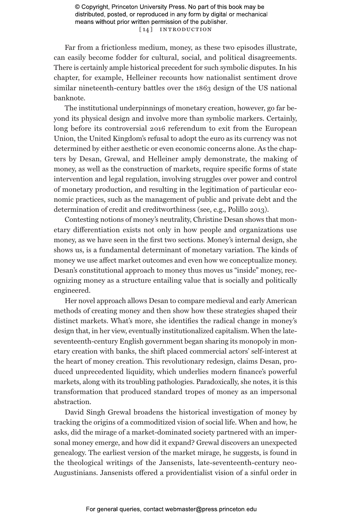© Copyright, Princeton University Press. No part of this book may be distributed, posted, or reproduced in any form by digital or mechanical means without prior written permission of the publisher. [14] INTRODUCTION

Far from a frictionless medium, money, as these two episodes illustrate, can easily become fodder for cultural, social, and political disagreements. There is certainly ample historical precedent for such symbolic disputes. In his chapter, for example, Helleiner recounts how nationalist sentiment drove similar nineteenth-century battles over the 1863 design of the US national banknote.

The institutional underpinnings of monetary creation, however, go far beyond its physical design and involve more than symbolic markers. Certainly, long before its controversial 2016 referendum to exit from the European Union, the United Kingdom's refusal to adopt the euro as its currency was not determined by either aesthetic or even economic concerns alone. As the chapters by Desan, Grewal, and Helleiner amply demonstrate, the making of money, as well as the construction of markets, require specific forms of state intervention and legal regulation, involving struggles over power and control of monetary production, and resulting in the legitimation of particular economic practices, such as the management of public and private debt and the determination of credit and creditworthiness (see, e.g., Polillo 2013).

Contesting notions of money's neutrality, Christine Desan shows that monetary differentiation exists not only in how people and organizations use money, as we have seen in the first two sections. Money's internal design, she shows us, is a fundamental determinant of monetary variation. The kinds of money we use affect market outcomes and even how we conceptualize money. Desan's constitutional approach to money thus moves us "inside" money, recognizing money as a structure entailing value that is socially and politically engineered.

Her novel approach allows Desan to compare medieval and early American methods of creating money and then show how these strategies shaped their distinct markets. What's more, she identifies the radical change in money's design that, in her view, eventually institutionalized capitalism. When the lateseventeenth-century English government began sharing its monopoly in monetary creation with banks, the shift placed commercial actors' self-interest at the heart of money creation. This revolutionary redesign, claims Desan, produced unprecedented liquidity, which underlies modern finance's powerful markets, along with its troubling pathologies. Paradoxically, she notes, it is this transformation that produced standard tropes of money as an impersonal abstraction.

David Singh Grewal broadens the historical investigation of money by tracking the origins of a commoditized vision of social life. When and how, he asks, did the mirage of a market-dominated society partnered with an impersonal money emerge, and how did it expand? Grewal discovers an unexpected genealogy. The earliest version of the market mirage, he suggests, is found in the theological writings of the Jansenists, late-seventeenth-century neo-Augustinians. Jansenists offered a providentialist vision of a sinful order in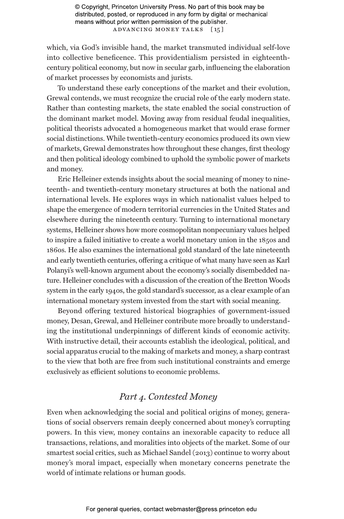© Copyright, Princeton University Press. No part of this book may be distributed, posted, or reproduced in any form by digital or mechanical means without prior written permission of the publisher. Advancing Money Talks [ 15 ]

which, via God's invisible hand, the market transmuted individual self-love into collective beneficence. This providentialism persisted in eighteenthcentury political economy, but now in secular garb, influencing the elaboration of market processes by economists and jurists.

To understand these early conceptions of the market and their evolution, Grewal contends, we must recognize the crucial role of the early modern state. Rather than contesting markets, the state enabled the social construction of the dominant market model. Moving away from residual feudal inequalities, political theorists advocated a homogeneous market that would erase former social distinctions. While twentieth-century economics produced its own view of markets, Grewal demonstrates how throughout these changes, first theology and then political ideology combined to uphold the symbolic power of markets and money.

Eric Helleiner extends insights about the social meaning of money to nineteenth- and twentieth-century monetary structures at both the national and international levels. He explores ways in which nationalist values helped to shape the emergence of modern territorial currencies in the United States and elsewhere during the nineteenth century. Turning to international monetary systems, Helleiner shows how more cosmopolitan nonpecuniary values helped to inspire a failed initiative to create a world monetary union in the 1850s and 1860s. He also examines the international gold standard of the late nineteenth and early twentieth centuries, offering a critique of what many have seen as Karl Polanyi's well-known argument about the economy's socially disembedded nature. Helleiner concludes with a discussion of the creation of the Bretton Woods system in the early 1940s, the gold standard's successor, as a clear example of an international monetary system invested from the start with social meaning.

Beyond offering textured historical biographies of government-issued money, Desan, Grewal, and Helleiner contribute more broadly to understanding the institutional underpinnings of different kinds of economic activity. With instructive detail, their accounts establish the ideological, political, and social apparatus crucial to the making of markets and money, a sharp contrast to the view that both are free from such institutional constraints and emerge exclusively as efficient solutions to economic problems.

## *Part 4. Contested Money*

Even when acknowledging the social and political origins of money, generations of social observers remain deeply concerned about money's corrupting powers. In this view, money contains an inexorable capacity to reduce all transactions, relations, and moralities into objects of the market. Some of our smartest social critics, such as Michael Sandel (2013) continue to worry about money's moral impact, especially when monetary concerns penetrate the world of intimate relations or human goods.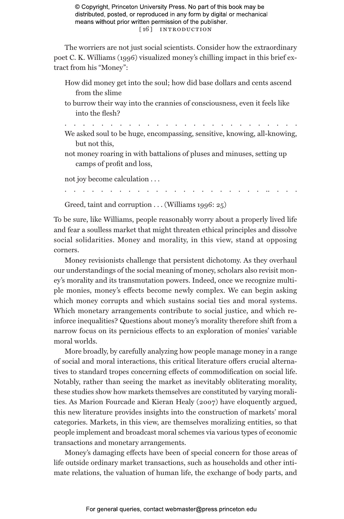© Copyright, Princeton University Press. No part of this book may be distributed, posted, or reproduced in any form by digital or mechanical means without prior written permission of the publisher. [16] INTRODUCTION

The worriers are not just social scientists. Consider how the extraordinary poet C. K. Williams (1996) visualized money's chilling impact in this brief extract from his "Money":

- How did money get into the soul; how did base dollars and cents ascend from the slime
- to burrow their way into the crannies of consciousness, even it feels like into the flesh?
	- . . . . . . . . . . . . . . . . . . . . . . . . . .
- We asked soul to be huge, encompassing, sensitive, knowing, all-knowing, but not this,
- not money roaring in with battalions of pluses and minuses, setting up camps of profit and loss,

not joy become calculation . . .

. . . . . . . . . . . . . . . . . . . . . . .. . . .

Greed, taint and corruption . . . (Williams 1996: 25)

To be sure, like Williams, people reasonably worry about a properly lived life and fear a soulless market that might threaten ethical principles and dissolve social solidarities. Money and morality, in this view, stand at opposing corners.

Money revisionists challenge that persistent dichotomy. As they overhaul our understandings of the social meaning of money, scholars also revisit money's morality and its transmutation powers. Indeed, once we recognize multiple monies, money's effects become newly complex. We can begin asking which money corrupts and which sustains social ties and moral systems. Which monetary arrangements contribute to social justice, and which reinforce inequalities? Questions about money's morality therefore shift from a narrow focus on its pernicious effects to an exploration of monies' variable moral worlds.

More broadly, by carefully analyzing how people manage money in a range of social and moral interactions, this critical literature offers crucial alternatives to standard tropes concerning effects of commodification on social life. Notably, rather than seeing the market as inevitably obliterating morality, these studies show how markets themselves are constituted by varying moralities. As Marion Fourcade and Kieran Healy (2007) have eloquently argued, this new literature provides insights into the construction of markets' moral categories. Markets, in this view, are themselves moralizing entities, so that people implement and broadcast moral schemes via various types of economic transactions and monetary arrangements.

Money's damaging effects have been of special concern for those areas of life outside ordinary market transactions, such as households and other intimate relations, the valuation of human life, the exchange of body parts, and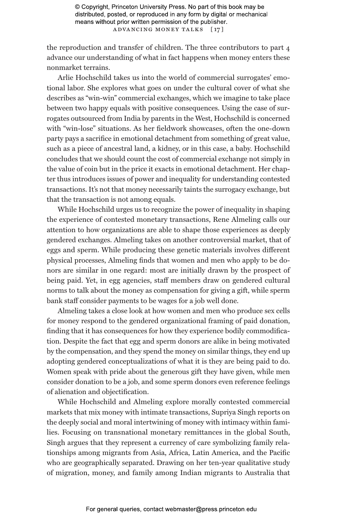© Copyright, Princeton University Press. No part of this book may be distributed, posted, or reproduced in any form by digital or mechanical means without prior written permission of the publisher. Advancing Money Talks [ 17 ]

the reproduction and transfer of children. The three contributors to part 4 advance our understanding of what in fact happens when money enters these nonmarket terrains.

Arlie Hochschild takes us into the world of commercial surrogates' emotional labor. She explores what goes on under the cultural cover of what she describes as "win-win" commercial exchanges, which we imagine to take place between two happy equals with positive consequences. Using the case of surrogates outsourced from India by parents in the West, Hochschild is concerned with "win-lose" situations. As her fieldwork showcases, often the one-down party pays a sacrifice in emotional detachment from something of great value, such as a piece of ancestral land, a kidney, or in this case, a baby. Hochschild concludes that we should count the cost of commercial exchange not simply in the value of coin but in the price it exacts in emotional detachment. Her chapter thus introduces issues of power and inequality for understanding contested transactions. It's not that money necessarily taints the surrogacy exchange, but that the transaction is not among equals.

While Hochschild urges us to recognize the power of inequality in shaping the experience of contested monetary transactions, Rene Almeling calls our attention to how organizations are able to shape those experiences as deeply gendered exchanges. Almeling takes on another controversial market, that of eggs and sperm. While producing these genetic materials involves different physical processes, Almeling finds that women and men who apply to be donors are similar in one regard: most are initially drawn by the prospect of being paid. Yet, in egg agencies, staff members draw on gendered cultural norms to talk about the money as compensation for giving a gift, while sperm bank staff consider payments to be wages for a job well done.

Almeling takes a close look at how women and men who produce sex cells for money respond to the gendered organizational framing of paid donation, finding that it has consequences for how they experience bodily commodification. Despite the fact that egg and sperm donors are alike in being motivated by the compensation, and they spend the money on similar things, they end up adopting gendered conceptualizations of what it is they are being paid to do. Women speak with pride about the generous gift they have given, while men consider donation to be a job, and some sperm donors even reference feelings of alienation and objectification.

While Hochschild and Almeling explore morally contested commercial markets that mix money with intimate transactions, Supriya Singh reports on the deeply social and moral intertwining of money with intimacy within families. Focusing on transnational monetary remittances in the global South, Singh argues that they represent a currency of care symbolizing family relationships among migrants from Asia, Africa, Latin America, and the Pacific who are geographically separated. Drawing on her ten-year qualitative study of migration, money, and family among Indian migrants to Australia that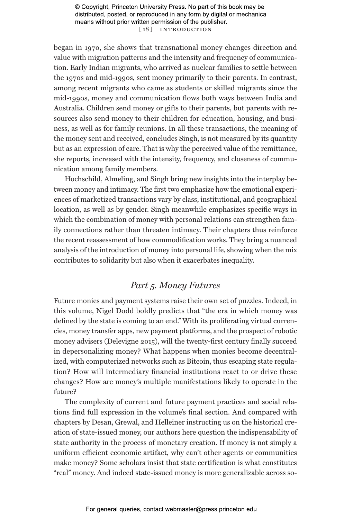© Copyright, Princeton University Press. No part of this book may be distributed, posted, or reproduced in any form by digital or mechanical means without prior written permission of the publisher. [18] INTRODUCTION

began in 1970, she shows that transnational money changes direction and value with migration patterns and the intensity and frequency of communication. Early Indian migrants, who arrived as nuclear families to settle between the 1970s and mid-1990s, sent money primarily to their parents. In contrast, among recent migrants who came as students or skilled migrants since the mid-1990s, money and communication flows both ways between India and Australia. Children send money or gifts to their parents, but parents with resources also send money to their children for education, housing, and business, as well as for family reunions. In all these transactions, the meaning of the money sent and received, concludes Singh, is not measured by its quantity but as an expression of care. That is why the perceived value of the remittance, she reports, increased with the intensity, frequency, and closeness of communication among family members.

Hochschild, Almeling, and Singh bring new insights into the interplay between money and intimacy. The first two emphasize how the emotional experiences of marketized transactions vary by class, institutional, and geographical location, as well as by gender. Singh meanwhile emphasizes specific ways in which the combination of money with personal relations can strengthen family connections rather than threaten intimacy. Their chapters thus reinforce the recent reassessment of how commodification works. They bring a nuanced analysis of the introduction of money into personal life, showing when the mix contributes to solidarity but also when it exacerbates inequality.

## *Part 5. Money Futures*

Future monies and payment systems raise their own set of puzzles. Indeed, in this volume, Nigel Dodd boldly predicts that "the era in which money was defined by the state is coming to an end." With its proliferating virtual currencies, money transfer apps, new payment platforms, and the prospect of robotic money advisers (Delevigne 2015), will the twenty-first century finally succeed in depersonalizing money? What happens when monies become decentralized, with computerized networks such as Bitcoin, thus escaping state regulation? How will intermediary financial institutions react to or drive these changes? How are money's multiple manifestations likely to operate in the future?

The complexity of current and future payment practices and social relations find full expression in the volume's final section. And compared with chapters by Desan, Grewal, and Helleiner instructing us on the historical creation of state-issued money, our authors here question the indispensability of state authority in the process of monetary creation. If money is not simply a uniform efficient economic artifact, why can't other agents or communities make money? Some scholars insist that state certification is what constitutes "real" money. And indeed state-issued money is more generalizable across so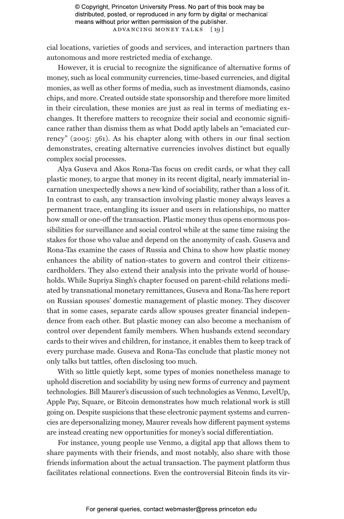© Copyright, Princeton University Press. No part of this book may be distributed, posted, or reproduced in any form by digital or mechanical means without prior written permission of the publisher. Advancing Money Talks [ 19 ]

cial locations, varieties of goods and services, and interaction partners than autonomous and more restricted media of exchange.

However, it is crucial to recognize the significance of alternative forms of money, such as local community currencies, time-based currencies, and digital monies, as well as other forms of media, such as investment diamonds, casino chips, and more. Created outside state sponsorship and therefore more limited in their circulation, these monies are just as real in terms of mediating exchanges. It therefore matters to recognize their social and economic significance rather than dismiss them as what Dodd aptly labels an "emaciated currency" (2005: 561). As his chapter along with others in our final section demonstrates, creating alternative currencies involves distinct but equally complex social processes.

Alya Guseva and Akos Rona-Tas focus on credit cards, or what they call plastic money, to argue that money in its recent digital, nearly immaterial incarnation unexpectedly shows a new kind of sociability, rather than a loss of it. In contrast to cash, any transaction involving plastic money always leaves a permanent trace, entangling its issuer and users in relationships, no matter how small or one-off the transaction. Plastic money thus opens enormous possibilities for surveillance and social control while at the same time raising the stakes for those who value and depend on the anonymity of cash. Guseva and Rona-Tas examine the cases of Russia and China to show how plastic money enhances the ability of nation-states to govern and control their citizenscardholders. They also extend their analysis into the private world of households. While Supriya Singh's chapter focused on parent-child relations mediated by transnational monetary remittances, Guseva and Rona-Tas here report on Russian spouses' domestic management of plastic money. They discover that in some cases, separate cards allow spouses greater financial independence from each other. But plastic money can also become a mechanism of control over dependent family members. When husbands extend secondary cards to their wives and children, for instance, it enables them to keep track of every purchase made. Guseva and Rona-Tas conclude that plastic money not only talks but tattles, often disclosing too much.

With so little quietly kept, some types of monies nonetheless manage to uphold discretion and sociability by using new forms of currency and payment technologies. Bill Maurer's discussion of such technologies as Venmo, LevelUp, Apple Pay, Square, or Bitcoin demonstrates how much relational work is still going on. Despite suspicions that these electronic payment systems and currencies are depersonalizing money, Maurer reveals how different payment systems are instead creating new opportunities for money's social differentiation.

For instance, young people use Venmo, a digital app that allows them to share payments with their friends, and most notably, also share with those friends information about the actual transaction. The payment platform thus facilitates relational connections. Even the controversial Bitcoin finds its vir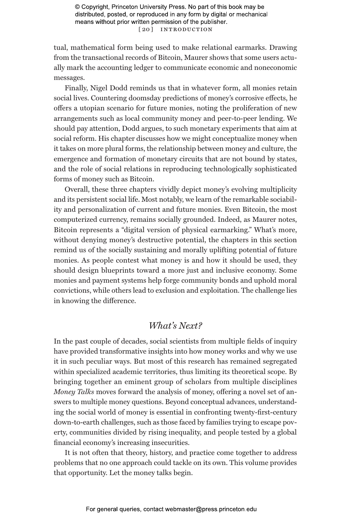© Copyright, Princeton University Press. No part of this book may be distributed, posted, or reproduced in any form by digital or mechanical means without prior written permission of the publisher. [ 20 ] Introduction

tual, mathematical form being used to make relational earmarks. Drawing from the transactional records of Bitcoin, Maurer shows that some users actually mark the accounting ledger to communicate economic and noneconomic messages.

Finally, Nigel Dodd reminds us that in whatever form, all monies retain social lives. Countering doomsday predictions of money's corrosive effects, he offers a utopian scenario for future monies, noting the proliferation of new arrangements such as local community money and peer-to-peer lending. We should pay attention, Dodd argues, to such monetary experiments that aim at social reform. His chapter discusses how we might conceptualize money when it takes on more plural forms, the relationship between money and culture, the emergence and formation of monetary circuits that are not bound by states, and the role of social relations in reproducing technologically sophisticated forms of money such as Bitcoin.

Overall, these three chapters vividly depict money's evolving multiplicity and its persistent social life. Most notably, we learn of the remarkable sociability and personalization of current and future monies. Even Bitcoin, the most computerized currency, remains socially grounded. Indeed, as Maurer notes, Bitcoin represents a "digital version of physical earmarking." What's more, without denying money's destructive potential, the chapters in this section remind us of the socially sustaining and morally uplifting potential of future monies. As people contest what money is and how it should be used, they should design blueprints toward a more just and inclusive economy. Some monies and payment systems help forge community bonds and uphold moral convictions, while others lead to exclusion and exploitation. The challenge lies in knowing the difference.

## *What's Next?*

In the past couple of decades, social scientists from multiple fields of inquiry have provided transformative insights into how money works and why we use it in such peculiar ways. But most of this research has remained segregated within specialized academic territories, thus limiting its theoretical scope. By bringing together an eminent group of scholars from multiple disciplines *Money Talks* moves forward the analysis of money, offering a novel set of answers to multiple money questions. Beyond conceptual advances, understanding the social world of money is essential in confronting twenty-first-century down-to-earth challenges, such as those faced by families trying to escape poverty, communities divided by rising inequality, and people tested by a global financial economy's increasing insecurities.

It is not often that theory, history, and practice come together to address problems that no one approach could tackle on its own. This volume provides that opportunity. Let the money talks begin.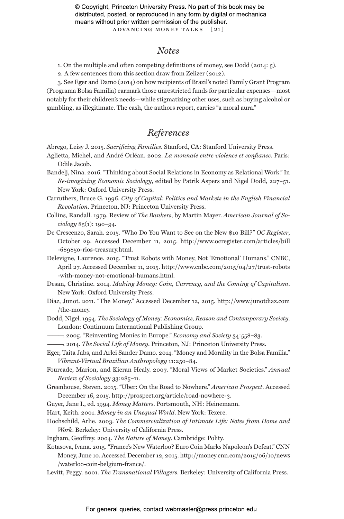© Copyright, Princeton University Press. No part of this book may be distributed, posted, or reproduced in any form by digital or mechanical means without prior written permission of the publisher. Advancing Money Talks [ 21 ]

#### *Notes*

1. On the multiple and often competing definitions of money, see Dodd (2014:  $5$ ).

2. A few sentences from this section draw from Zelizer (2012).

3. See Eger and Damo (2014) on how recipients of Brazil's noted Family Grant Program (Programa Bolsa Familia) earmark those unrestricted funds for particular expenses—most notably for their children's needs—while stigmatizing other uses, such as buying alcohol or gambling, as illegitimate. The cash, the authors report, carries "a moral aura."

# *References*

Abrego, Leisy J. 2015. *Sacrificing Families*. Stanford, CA: Stanford University Press.

- Aglietta, Michel, and André Orléan. 2002. *La monnaie entre violence et confiance*. Paris: Odile Jacob.
- Bandelj, Nina. 2016. "Thinking about Social Relations in Economy as Relational Work." In *Re-imagining Economic Sociology*, edited by Patrik Aspers and Nigel Dodd, 227–51. New York: Oxford University Press.
- Carruthers, Bruce G. 1996. *City of Capital: Politics and Markets in the English Financial Revolution*. Princeton, NJ: Princeton University Press.
- Collins, Randall. 1979. Review of *The Bankers*, by Martin Mayer. *American Journal of Sociology* 85(1): 190–94.
- De Crescenzo, Sarah. 2015. "Who Do You Want to See on the New \$10 Bill?" *OC Register*, October 29. Accessed December 11, 2015. http://www.ocregister.com/articles/bill -689850-rios-treasury.html.
- Delevigne, Laurence. 2015. "Trust Robots with Money, Not 'Emotional' Humans." CNBC, April 27. Accessed December 11, 2015. http://www.cnbc.com/2015/04/27/trust-robots -with-money-not-emotional-humans.html.
- Desan, Christine. 2014. *Making Money: Coin, Currency, and the Coming of Capitalism*. New York: Oxford University Press.
- Díaz, Junot. 2011. "The Money." Accessed December 12, 2015. http://www.junotdiaz.com /the-money.
- Dodd, Nigel. 1994. *The Sociology of Money: Economics, Reason and Contemporary Society*. London: Continuum International Publishing Group.
	- ———. 2005. "Reinventing Monies in Europe." *Economy and Society* 34:558–83.
- ———. 2014. *The Social Life of Money*. Princeton, NJ: Princeton University Press.
- Eger, Taita Jabs, and Arlei Sander Damo. 2014. "Money and Morality in the Bolsa Familia." *Vibrant-Virtual Brazilian Anthropology* 11:250–84.
- Fourcade, Marion, and Kieran Healy. 2007. "Moral Views of Market Societies." *Annual Review of Sociology* 33:285–11.
- Greenhouse, Steven. 2015. "Uber: On the Road to Nowhere." *American Prospect*. Accessed December 16, 2015. http://prospect.org/article/road-nowhere-3.
- Guyer, Jane I., ed. 1994. *Money Matters*. Portsmouth, NH: Heinemann.
- Hart, Keith. 2001. *Money in an Unequal World*. New York: Texere.
- Hochschild, Arlie. 2003. *The Commercialization of Intimate Life: Notes from Home and Work*. Berkeley: University of California Press.
- Ingham, Geoffrey. 2004. *The Nature of Money*. Cambridge: Polity.
- Kotasova, Ivana. 2015. "France's New Waterloo? Euro Coin Marks Napoleon's Defeat." CNN Money, June 10. Accessed December 12, 2015. http://money.cnn.com/2015/06/10/news /waterloo-coin-belgium-france/.
- Levitt, Peggy. 2001. *The Transnational Villagers*. Berkeley: University of California Press.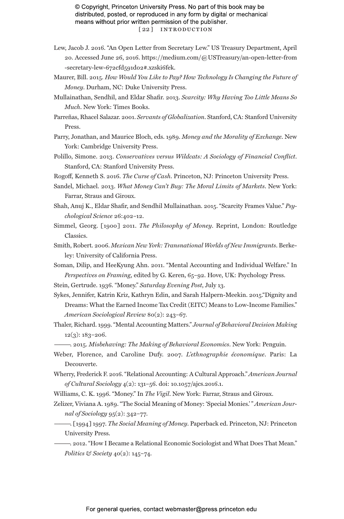© Copyright, Princeton University Press. No part of this book may be distributed, posted, or reproduced in any form by digital or mechanical means without prior written permission of the publisher. [ 22 ] Introduction

- Lew, Jacob J. 2016. "An Open Letter from Secretary Lew." US Treasury Department, April 20. Accessed June 26, 2016. https://medium.com/@USTreasury/an-open-letter-from -secretary-lew-672cfd591d02#.xzski6fek.
- Maurer, Bill. 2015. *How Would You Like to Pay? How Technology Is Changing the Future of Money*. Durham, NC: Duke University Press.
- Mullainathan, Sendhil, and Eldar Shafir. 2013. *Scarcity: Why Having Too Little Means So Much*. New York: Times Books.
- Parreñas, Rhacel Salazar. 2001. *Servants of Globalization*. Stanford, CA: Stanford University Press.
- Parry, Jonathan, and Maurice Bloch, eds. 1989. *Money and the Morality of Exchange*. New York: Cambridge University Press.
- Polillo, Simone. 2013. *Conservatives versus Wildcats: A Sociology of Financial Conflict*. Stanford, CA: Stanford University Press.
- Rogoff, Kenneth S. 2016. *The Curse of Cash*. Princeton, NJ: Princeton University Press.
- Sandel, Michael. 2013. *What Money Can't Buy: The Moral Limits of Markets*. New York: Farrar, Straus and Giroux.
- Shah, Anuj K., Eldar Shafir, and Sendhil Mullainathan. 2015. "Scarcity Frames Value." *Psychological Science* 26:402–12.
- Simmel, Georg. [1900] 2011. *The Philosophy of Money*. Reprint, London: Routledge Classics.
- Smith, Robert. 2006. *Mexican New York: Transnational Worlds of New Immigrants*. Berkeley: University of California Press.
- Soman, Dilip, and HeeKyung Ahn. 2011. "Mental Accounting and Individual Welfare." In *Perspectives on Framing*, edited by G. Keren, 65–92. Hove, UK: Psychology Press.
- Stein, Gertrude. 1936. "Money." *Saturday Evening Post*, July 13.
- Sykes, Jennifer, Katrin Kriz, Kathryn Edin, and Sarah Halpern-Meekin. 2015."Dignity and Dreams: What the Earned Income Tax Credit (EITC) Means to Low-Income Families." *American Sociological Review* 80(2): 243–67.
- Thaler, Richard. 1999. "Mental Accounting Matters." *Journal of Behavioral Decision Making*  $12(3)$ :  $183-206$ .
- ———. 2015. *Misbehaving: The Making of Behavioral Economics*. New York: Penguin.
- Weber, Florence, and Caroline Dufy. 2007. *L'ethnographie économique*. Paris: La Decouverte.
- Wherry, Frederick F. 2016. "Relational Accounting: A Cultural Approach." *American Journal of Cultural Sociology* 4(2): 131–56. doi: 10.1057/ajcs.2016.1.
- Williams, C. K. 1996. "Money." In *The Vigil*. New York: Farrar, Straus and Giroux.
- Zelizer, Viviana A. 1989. "The Social Meaning of Money: 'Special Monies.' " *American Journal of Sociology* 95(2): 342–77.
- ———. [1994] 1997. *The Social Meaning of Money*. Paperback ed. Princeton, NJ: Princeton University Press.
	- ———. 2012. "How I Became a Relational Economic Sociologist and What Does That Mean." *Politics & Society* 40(2): 145–74.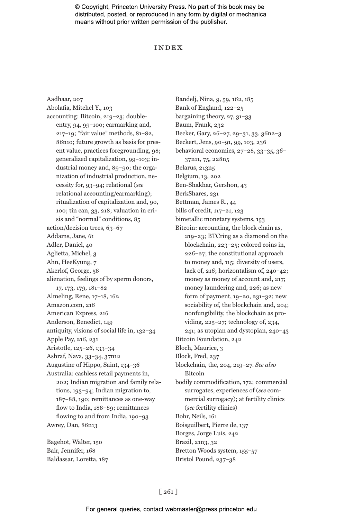© Copyright, Princeton University Press. No part of this book may be distributed, posted, or reproduced in any form by digital or mechanical means without prior written permission of the publisher.

#### Index

Aadhaar, 207 Abolafia, Mitchel Y., 103 accounting: Bitcoin, 219–23; doubleentry, 94, 99–100; earmarking and, 217–19; "fair value" methods, 81–82, 86n10; future growth as basis for present value, practices foregrounding, 98; generalized capitalization, 99–103; industrial money and, 89–90; the organization of industrial production, necessity for, 93–94; relational (*see* relational accounting/earmarking); ritualization of capitalization and, 90, 100; tin can, 33, 218; valuation in crisis and "normal" conditions, 85 action/decision trees, 63–67 Addams, Jane, 61 Adler, Daniel, 40 Aglietta, Michel, 3 Ahn, HeeKyung, 7 Akerlof, George, 58 alienation, feelings of by sperm donors, 17, 173, 179, 181–82 Almeling, Rene, 17–18, 162 Amazon.com, 216 American Express, 216 Anderson, Benedict, 149 antiquity, visions of social life in, 132–34 Apple Pay, 216, 231 Aristotle, 125–26, 133–34 Ashraf, Nava, 33–34, 37n12 Augustine of Hippo, Saint, 134–36 Australia: cashless retail payments in, 202; Indian migration and family relations, 193–94; Indian migration to, 187–88, 190; remittances as one-way flow to India, 188–89; remittances flowing to and from India, 190–93 Awrey, Dan, 86n13

Bagehot, Walter, 150 Bair, Jennifer, 168 Baldassar, Loretta, 187

Bandelj, Nina, 9, 59, 162, 185 Bank of England, 122–25 bargaining theory, 27, 31–33 Baum, Frank, 232 Becker, Gary, 26–27, 29–31, 33, 36n2–3 Beckert, Jens, 90–91, 99, 103, 236 behavioral economics, 27–28, 33–35, 36– 37n11, 75, 228n5 Belarus, 213n5 Belgium, 13, 202 Ben-Shakhar, Gershon, 43 BerkShares, 231 Bettman, James R., 44 bills of credit, 117–21, 123 bimetallic monetary systems, 153 Bitcoin: accounting, the block chain as, 219–23; BTCring as a diamond on the blockchain, 223–25; colored coins in, 226–27; the constitutional approach to money and, 115; diversity of users, lack of, 216; horizontalism of, 240–42; money as money of account and, 217; money laundering and, 226; as new form of payment, 19–20, 231–32; new sociability of, the blockchain and, 204; nonfungibility, the blockchain as providing, 225–27; technology of, 234, 241; as utopian and dystopian, 240–43 Bitcoin Foundation, 242 Bloch, Maurice, 3 Block, Fred, 237 blockchain, the, 204, 219–27. *See also* Bitcoin bodily commodification, 172; commercial surrogates, experiences of (*see* commercial surrogacy); at fertility clinics (*see* fertility clinics) Bohr, Neils, 161 Boisguilbert, Pierre de, 137 Borges, Jorge Luis, 242 Brazil, 21n3, 32 Bretton Woods system, 155–57 Bristol Pound, 237–38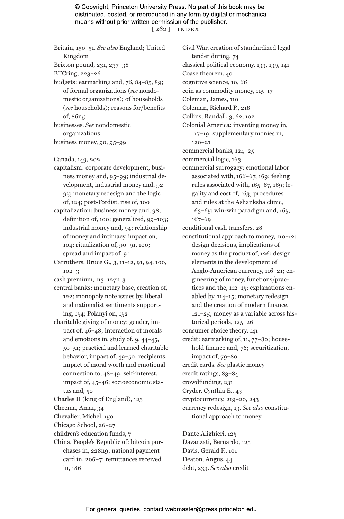© Copyright, Princeton University Press. No part of this book may be distributed, posted, or reproduced in any form by digital or mechanical means without prior written permission of the publisher. [ 262 ] Index

Britain, 150–51. *See also* England; United Kingdom Brixton pound, 231, 237–38 BTCring, 223–26

budgets: earmarking and, 76, 84–85, 89; of formal organizations (*see* nondomestic organizations); of households (*see* households); reasons for/benefits of, 86n5

businesses. *See* nondomestic organizations

business money, 90, 95–99

Canada, 149, 202

- capitalism: corporate development, business money and, 95–99; industrial development, industrial money and, 92– 95; monetary redesign and the logic of, 124; post-Fordist, rise of, 100
- capitalization: business money and, 98; definition of, 100; generalized, 99–103; industrial money and, 94; relationship of money and intimacy, impact on, 104; ritualization of, 90–91, 100; spread and impact of, 91
- Carruthers, Bruce G., 3, 11–12, 91, 94, 100, 102–3
- cash premium, 113, 127n13
- central banks: monetary base, creation of, 122; monopoly note issues by, liberal and nationalist sentiments supporting, 154; Polanyi on, 152
- charitable giving of money: gender, impact of, 46–48; interaction of morals and emotions in, study of, 9, 44–45, 50–51; practical and learned charitable behavior, impact of, 49–50; recipients, impact of moral worth and emotional connection to, 48–49; self-interest, impact of, 45–46; socioeconomic status and, 50
- Charles II (king of England), 123

Cheema, Amar, 34

- Chevalier, Michel, 150
- Chicago School, 26–27
- children's education funds, 7
- China, People's Republic of: bitcoin purchases in, 228n9; national payment card in, 206–7; remittances received in, 186

Civil War, creation of standardized legal tender during, 74 classical political economy, 133, 139, 141 Coase theorem, 40 cognitive science, 10, 66 coin as commodity money, 115–17 Coleman, James, 110 Coleman, Richard P., 218 Collins, Randall, 3, 62, 102 Colonial America: inventing money in, 117–19; supplementary monies in, 120–21 commercial banks, 124–25 commercial logic, 163 commercial surrogacy: emotional labor associated with, 166–67, 169; feeling rules associated with, 165–67, 169; legality and cost of, 163; procedures and rules at the Ashanksha clinic, 163–65; win-win paradigm and, 165, 167–69 conditional cash transfers, 28 constitutional approach to money, 110–12; design decisions, implications of money as the product of, 126; design elements in the development of Anglo-American currency, 116–21; engineering of money, functions/practices and the, 112–15; explanations enabled by, 114–15; monetary redesign and the creation of modern finance, 121–25; money as a variable across historical periods, 125–26 consumer choice theory, 141 credit: earmarking of, 11, 77–80; household finance and, 76; securitization, impact of, 79–80 credit cards. *See* plastic money credit ratings, 83–84 crowdfunding, 231 Cryder, Cynthia E., 43 cryptocurrency, 219–20, 243 currency redesign, 13. *See also* constitutional approach to money

Dante Alighieri, 125 Davanzati, Bernardo, 125 Davis, Gerald F., 101 Deaton, Angus, 44 debt, 233. *See also* credit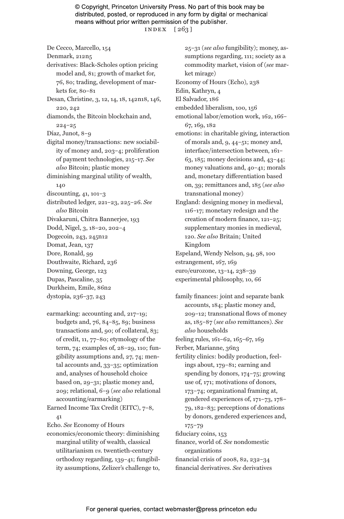© Copyright, Princeton University Press. No part of this book may be distributed, posted, or reproduced in any form by digital or mechanical means without prior written permission of the publisher. Index [ 263 ]

De Cecco, Marcello, 154 Denmark, 212n5 derivatives: Black-Scholes option pricing model and, 81; growth of market for, 76, 80; trading, development of markets for, 80–81 Desan, Christine, 3, 12, 14, 18, 142n18, 146, 220, 242 diamonds, the Bitcoin blockchain and, 224–25 Díaz, Junot, 8–9 digital money/transactions: new sociability of money and, 203–4; proliferation of payment technologies, 215–17. *See also* Bitcoin; plastic money diminishing marginal utility of wealth, 140 discounting,  $41, 101-3$ distributed ledger, 221–23, 225–26. *See also* Bitcoin Divakaruni, Chitra Bannerjee, 193 Dodd, Nigel, 3, 18–20, 202–4 Dogecoin, 243, 245n12 Domat, Jean, 137 Dore, Ronald, 99 Douthwaite, Richard, 236 Downing, George, 123 Dupas, Pascaline, 35 Durkheim, Emile, 86n2 dystopia, 236–37, 243

earmarking: accounting and, 217–19; budgets and, 76, 84–85, 89; business transactions and, 90; of collateral, 83; of credit, 11, 77–80; etymology of the term, 74; examples of, 28–29, 110; fungibility assumptions and, 27, 74; mental accounts and, 33–35; optimization and, analyses of household choice based on, 29–31; plastic money and, 209; relational, 6–9 (*see also* relational accounting/earmarking) Earned Income Tax Credit (EITC), 7–8,

41 Echo. *See* Economy of Hours economics/economic theory: diminishing marginal utility of wealth, classical utilitarianism *vs.* twentieth-century orthodoxy regarding, 139–41; fungibility assumptions, Zelizer's challenge to,

25–31 (*see also* fungibility); money, assumptions regarding, 111; society as a commodity market, vision of (*see* market mirage) Economy of Hours (Echo), 238 Edin, Kathryn, 4 El Salvador, 186 embedded liberalism, 100, 156 emotional labor/emotion work, 162, 166– 67, 169, 182 emotions: in charitable giving, interaction of morals and, 9, 44–51; money and, interface/intersection between, 161– 63, 185; money decisions and, 43–44; money valuations and, 40–41; morals and, monetary differentiation based on, 39; remittances and, 185 (*see also* transnational money) England: designing money in medieval, 116–17; monetary redesign and the creation of modern finance, 121–25; supplementary monies in medieval, 120. *See also* Britain; United Kingdom Espeland, Wendy Nelson, 94, 98, 100 estrangement, 167, 169 euro/eurozone, 13–14, 238–39 experimental philosophy, 10, 66

family finances: joint and separate bank accounts, 184; plastic money and, 209–12; transnational flows of money as, 185–87 (*see also* remittances). *See also* households feeling rules, 161–62, 165–67, 169

Ferber, Marianne, 36n3

fertility clinics: bodily production, feelings about, 179–81; earning and spending by donors, 174–75; growing use of, 171; motivations of donors, 173–74; organizational framing at, gendered experiences of, 171–73, 178– 79, 182–83; perceptions of donations by donors, gendered experiences and, 175–79 fiduciary coins, 153

finance, world of. *See* nondomestic organizations financial crisis of 2008, 82, 232–34

financial derivatives. *See* derivatives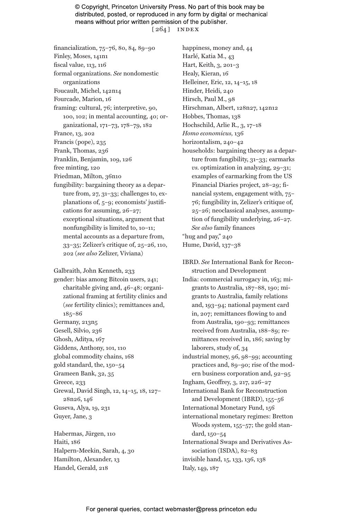#### © Copyright, Princeton University Press. No part of this book may be distributed, posted, or reproduced in any form by digital or mechanical means without prior written permission of the publisher. [ 264 ] Index

- financialization, 75–76, 80, 84, 89–90 Finley, Moses, 141n1
- fiscal value, 113, 116
- formal organizations. *See* nondomestic organizations
- 
- Foucault, Michel, 142n14 Fourcade, Marion, 16
- framing: cultural, 76; interpretive, 90,
- 100, 102; in mental accounting, 40; organizational, 171–73, 178–79, 182
- France, 13, 202
- Francis (pope), 235
- Frank, Thomas, 236
- Franklin, Benjamin, 109, 126
- free minting, 120
- Friedman, Milton, 36n10
- fungibility: bargaining theory as a departure from, 27, 31–33; challenges to, explanations of, 5–9; economists' justifications for assuming, 26–27; exceptional situations, argument that nonfungibility is limited to, 10–11; mental accounts as a departure from, 33–35; Zelizer's critique of, 25–26, 110, 202 (*see also* Zelizer, Viviana)

Galbraith, John Kenneth, 233

gender: bias among Bitcoin users, 241; charitable giving and, 46–48; organizational framing at fertility clinics and (*see* fertility clinics); remittances and, 185–86 Germany, 213n5 Gesell, Silvio, 236 Ghosh, Aditya, 167 Giddens, Anthony, 101, 110 global commodity chains, 168 gold standard, the, 150–54 Grameen Bank, 32, 35 Greece, 233 Grewal, David Singh, 12, 14–15, 18, 127– 28n26, 146 Guseva, Alya, 19, 231 Guyer, Jane, 3

Habermas, Jürgen, 110 Haiti, 186 Halpern-Meekin, Sarah, 4, 30 Hamilton, Alexander, 13 Handel, Gerald, 218

happiness, money and, 44 Harlé, Katia M., 43 Hart, Keith, 3, 201–3 Healy, Kieran, 16 Helleiner, Eric, 12, 14–15, 18 Hinder, Heidi, 240 Hirsch, Paul M., 98 Hirschman, Albert, 128n27, 142n12 Hobbes, Thomas, 138 Hochschild, Arlie R., 3, 17–18 *Homo economicus,* 136 horizontalism, 240–42 households: bargaining theory as a departure from fungibility, 31–33; earmarks *vs.* optimization in analyzing, 29–31; examples of earmarking from the US Financial Diaries project, 28–29; financial system, engagement with, 75– 76; fungibility in, Zelizer's critique of, 25–26; neoclassical analyses, assumption of fungibility underlying, 26–27. *See also* family finances "hug and pay," 240

Hume, David, 137–38

IBRD. *See* International Bank for Reconstruction and Development India: commercial surrogacy in, 163; migrants to Australia, 187–88, 190; migrants to Australia, family relations and, 193–94; national payment card in, 207; remittances flowing to and from Australia, 190–93; remittances received from Australia, 188–89; remittances received in, 186; saving by laborers, study of, 34 industrial money, 96, 98–99; accounting practices and, 89–90; rise of the modern business corporation and, 92–95 Ingham, Geoffrey, 3, 217, 226–27 International Bank for Reconstruction and Development (IBRD), 155–56 International Monetary Fund, 156 international monetary regimes: Bretton Woods system, 155–57; the gold standard, 150–54 International Swaps and Derivatives Association (ISDA), 82–83 invisible hand, 15, 133, 136, 138 Italy, 149, 187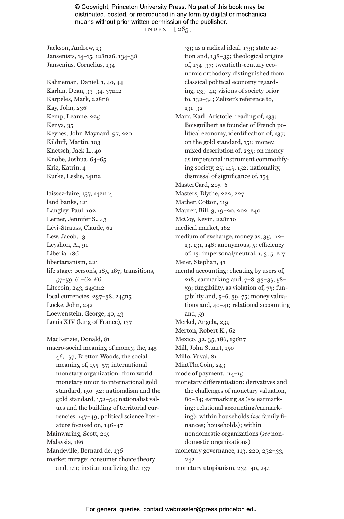© Copyright, Princeton University Press. No part of this book may be distributed, posted, or reproduced in any form by digital or mechanical means without prior written permission of the publisher. Index [ 265 ]

Jackson, Andrew, 13 Jansenists, 14–15, 128n26, 134–38 Jansenius, Cornelius, 134

Kahneman, Daniel, 1, 40, 44 Karlan, Dean, 33–34, 37n12 Karpeles, Mark, 228n8 Kay, John, 236 Kemp, Leanne, 225 Kenya, 35 Keynes, John Maynard, 97, 220 Kilduff, Martin, 103 Knetsch, Jack L., 40 Knobe, Joshua, 64–65 Kriz, Katrin, 4 Kurke, Leslie, 141n2

laissez-faire, 137, 142n14 land banks, 121 Langley, Paul, 102 Lerner, Jennifer S., 43 Lévi-Strauss, Claude, 62 Lew, Jacob, 13 Leyshon, A., 91 Liberia, 186 libertarianism, 221 life stage: person's, 185, 187; transitions, 57–59, 61–62, 66 Litecoin, 243, 245n12 local currencies, 237–38, 245n5 Locke, John, 242 Loewenstein, George, 40, 43 Louis XIV (king of France), 137

MacKenzie, Donald, 81 macro-social meaning of money, the, 145– 46, 157; Bretton Woods, the social meaning of, 155–57; international monetary organization: from world monetary union to international gold standard, 150–52; nationalism and the gold standard, 152–54; nationalist values and the building of territorial currencies, 147–49; political science literature focused on, 146–47 Mainwaring, Scott, 215 Malaysia, 186 Mandeville, Bernard de, 136 market mirage: consumer choice theory and, 141; institutionalizing the, 137–

tion and, 138–39; theological origins of, 134–37; twentieth-century economic orthodoxy distinguished from classical political economy regarding, 139–41; visions of society prior to, 132–34; Zelizer's reference to, 131–32 Marx, Karl: Aristotle, reading of, 133; Boisguilbert as founder of French political economy, identification of, 137; on the gold standard, 151; money, mixed description of, 235; on money as impersonal instrument commodifying society, 25, 145, 152; nationality, dismissal of significance of, 154 MasterCard, 205–6 Masters, Blythe, 222, 227 Mather, Cotton, 119 Maurer, Bill, 3, 19–20, 202, 240 McCoy, Kevin, 228n10 medical market, 182 medium of exchange, money as, 35, 112– 13, 131, 146; anonymous, 5; efficiency of, 13; impersonal/neutral, 1, 3, 5, 217 Meier, Stephan, 41 mental accounting: cheating by users of, 218; earmarking and, 7–8, 33–35, 58– 59; fungibility, as violation of, 75; fungibility and, 5–6, 39, 75; money valuations and, 40–41; relational accounting and, 59 Merkel, Angela, 239 Merton, Robert K., 62 Mexico, 32, 35, 186, 196n7 Mill, John Stuart, 150 Millo, Yuval, 81 MintTheCoin, 243 mode of payment, 114–15 monetary differentiation: derivatives and the challenges of monetary valuation, 80–84; earmarking as (*see* earmarking; relational accounting/earmarking); within households (*see* family finances; households); within nondomestic organizations (*see* nondomestic organizations) monetary governance, 113, 220, 232–33, 242 monetary utopianism, 234–40, 244

39; as a radical ideal, 139; state ac-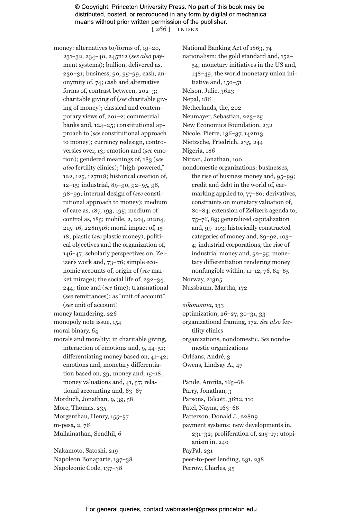© Copyright, Princeton University Press. No part of this book may be distributed, posted, or reproduced in any form by digital or mechanical means without prior written permission of the publisher. [ 266 ] Index

money: alternatives to/forms of, 19–20, 231–32, 234–40, 245n12 (*see also* payment systems); bullion, delivered as, 230–31; business, 90, 95–99; cash, anonymity of, 74; cash and alternative forms of, contrast between, 202–3; charitable giving of (*see* charitable giving of money); classical and contemporary views of, 201–2; commercial banks and, 124–25; constitutional approach to (*see* constitutional approach to money); currency redesign, controversies over, 13; emotion and (*see* emotion); gendered meanings of, 183 (*see also* fertility clinics); "high-powered," 122, 125, 127n18; historical creation of, 12–15; industrial, 89–90, 92–95, 96, 98–99; internal design of (*see* constitutional approach to money); medium of care as, 187, 193, 195; medium of control as, 185; mobile, 2, 204, 212n4, 215–16, 228n516; moral impact of, 15– 18; plastic (*see* plastic money); political objectives and the organization of, 146–47; scholarly perspectives on, Zelizer's work and, 73–76; simple economic accounts of, origin of (*see* market mirage); the social life of, 232–34, 244; time and (*see* time); transnational (*see* remittances); as "unit of account" (*see* unit of account) money laundering, 226

monopoly note issue, 154

moral binary, 64

morals and morality: in charitable giving, interaction of emotions and, 9, 44–51; differentiating money based on, 41–42; emotions and, monetary differentiation based on, 39; money and, 15–18; money valuations and, 41, 57; relational accounting and, 63–67 Morduch, Jonathan, 9, 39, 58 More, Thomas, 235 Morgenthau, Henry, 155–57 m-pesa, 2, 76 Mullainathan, Sendhil, 6

Nakamoto, Satoshi, 219 Napoleon Bonaparte, 137–38 Napoleonic Code, 137–38

nationalism: the gold standard and, 152– 54; monetary initiatives in the US and, 148–49; the world monetary union initiative and, 150–51 Nelson, Julie, 36n3 Nepal, 186 Netherlands, the, 202 Neumayer, Sebastian, 223–25 New Economics Foundation, 232 Nicole, Pierre, 136–37, 142n13 Nietzsche, Friedrich, 235, 244 Nigeria, 186 Nitzan, Jonathan, 100 nondomestic organizations: businesses, the rise of business money and, 95–99; credit and debt in the world of, earmarking applied to,  $77-80$ ; derivatives, constraints on monetary valuation of, 80–84; extension of Zelizer's agenda to, 75–76, 89; generalized capitalization and, 99–103; historically constructed categories of money and, 89–92, 103– 4; industrial corporations, the rise of industrial money and, 92–95; monetary differentiation rendering money nonfungible within, 11–12, 76, 84–85 Norway, 213n5 Nussbaum, Martha, 172

National Banking Act of 1863, 74

*oikonomia*, 133

optimization, 26–27, 30–31, 33

organizational framing, 172. *See also* fertility clinics organizations, nondomestic. *See* nondomestic organizations

Orléans, André, 3

Owens, Lindsay A., 47

Pande, Amrita, 165–68 Parry, Jonathan, 3 Parsons, Talcott, 36n2, 110 Patel, Nayna, 163-68 Patterson, Donald J., 228n9 payment systems: new developments in, 231–32; proliferation of, 215–17; utopianism in, 240 PayPal, 231 peer-to-peer lending, 231, 238 Perrow, Charles, 95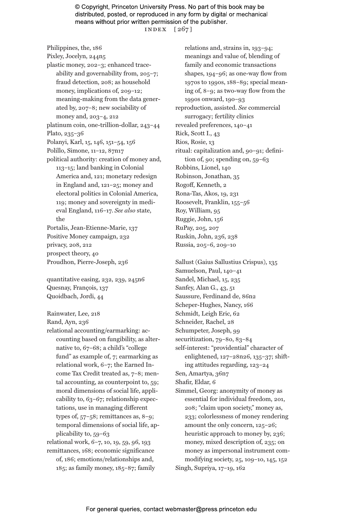© Copyright, Princeton University Press. No part of this book may be distributed, posted, or reproduced in any form by digital or mechanical means without prior written permission of the publisher. Index [ 267 ]

Philippines, the, 186

Pixley, Jocelyn, 244n5

plastic money, 202–3; enhanced traceability and governability from, 205–7; fraud detection, 208; as household money, implications of, 209–12; meaning-making from the data generated by, 207–8; new sociability of money and, 203–4, 212

platinum coin, one-trillion-dollar, 243–44

- Plato, 235–36
- Polanyi, Karl, 15, 146, 151–54, 156 Polillo, Simone, 11–12, 87n17
- political authority: creation of money and, 113–15; land banking in Colonial America and, 121; monetary redesign in England and, 121–25; money and electoral politics in Colonial America, 119; money and sovereignty in medieval England, 116–17. *See also* state, the Portalis, Jean-Etienne-Marie, 137 Positive Money campaign, 232

privacy, 208, 212

prospect theory, 40

Proudhon, Pierre-Joseph, 236

quantitative easing, 232, 239, 245n6 Quesnay, François, 137 Quoidbach, Jordi, 44

Rainwater, Lee, 218

Rand, Ayn, 236

relational accounting/earmarking: accounting based on fungibility, as alternative to, 67–68; a child's "college fund" as example of, 7; earmarking as relational work, 6–7; the Earned Income Tax Credit treated as, 7–8; mental accounting, as counterpoint to, 59; moral dimensions of social life, applicability to, 63–67; relationship expectations, use in managing different types of,  $57-58$ ; remittances as,  $8-9$ ; temporal dimensions of social life, applicability to, 59–63

relational work, 6–7, 10, 19, 59, 96, 193 remittances, 168; economic significance of, 186; emotions/relationships and, 185; as family money, 185–87; family

relations and, strains in, 193–94; meanings and value of, blending of family and economic transactions shapes, 194–96; as one-way flow from 1970s to 1990s, 188–89; special meaning of, 8–9; as two-way flow from the 1990s onward, 190–93 reproduction, assisted. *See* commercial surrogacy; fertility clinics revealed preferences, 140–41 Rick, Scott I., 43 Rios, Rosie, 13 ritual: capitalization and, 90–91; definition of, 90; spending on,  $59-63$ Robbins, Lionel, 140 Robinson, Jonathan, 35 Rogoff, Kenneth, 2 Rona-Tas, Akos, 19, 231 Roosevelt, Franklin, 155–56 Roy, William, 95 Ruggie, John, 156 RuPay, 205, 207 Ruskin, John, 236, 238 Russia, 205–6, 209–10

- Sallust (Gaius Sallustius Crispus), 135 Samuelson, Paul, 140–41 Sandel, Michael, 15, 235 Sanfey, Alan G., 43, 51 Saussure, Ferdinand de, 86n2 Scheper-Hughes, Nancy, 166 Schmidt, Leigh Eric, 62 Schneider, Rachel, 28 Schumpeter, Joseph, 99 securitization, 79–80, 83–84 self-interest: "providential" character of enlightened, 127–28n26, 135–37; shifting attitudes regarding, 123–24 Sen, Amartya, 36n7 Shafir, Eldar, 6 Simmel, Georg: anonymity of money as
- essential for individual freedom, 201, 208; "claim upon society," money as, 233; colorlessness of money rendering amount the only concern, 125–26; heuristic approach to money by, 236; money, mixed description of, 235; on money as impersonal instrument commodifying society, 25, 109–10, 145, 152 Singh, Supriya, 17–19, 162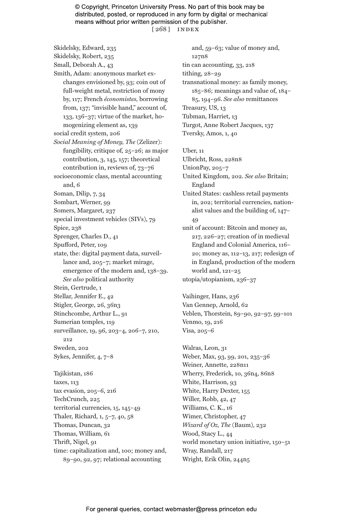© Copyright, Princeton University Press. No part of this book may be distributed, posted, or reproduced in any form by digital or mechanical means without prior written permission of the publisher. [ 268 ] Index

Skidelsky, Edward, 235 Skidelsky, Robert, 235 Small, Deborah A., 43 Smith, Adam: anonymous market exchanges envisioned by, 93; coin out of full-weight metal, restriction of mony by, 117; French *économistes,* borrowing from, 137; "invisible hand," account of, 133, 136–37; virtue of the market, homogenizing element as, 139 social credit system, 206 *Social Meaning of Money, The* (Zelizer): fungibility, critique of, 25–26; as major contribution, 3, 145, 157; theoretical contribution in, reviews of, 73–76 socioeconomic class, mental accounting and, 6 Soman, Dilip, 7, 34 Sombart, Werner, 99 Somers, Margaret, 237 special investment vehicles (SIVs), 79 Spice, 238 Sprenger, Charles D., 41 Spufford, Peter, 109 state, the: digital payment data, surveillance and, 205–7; market mirage, emergence of the modern and, 138–39. *See also* political authority Stein, Gertrude, 1 Stellar, Jennifer E., 42 Stigler, George, 26, 36n3 Stinchcombe, Arthur L., 91 Sumerian temples, 119 surveillance, 19, 96, 203–4, 206–7, 210, 212 Sweden, 202 Sykes, Jennifer, 4, 7–8 Tajikistan, 186 taxes, 113 tax evasion, 205–6, 216 TechCrunch, 225 territorial currencies, 15, 145–49 Thaler, Richard, 1, 5–7, 40, 58 Thomas, Duncan, 32

Thomas, William, 61 Thrift, Nigel, 91 time: capitalization and, 100; money and, 89–90, 92, 97; relational accounting

and, 59–63; value of money and, 127n8 tin can accounting, 33, 218 tithing, 28–29 transnational money: as family money, 185–86; meanings and value of, 184– 85, 194–96. *See also* remittances Treasury, US, 13 Tubman, Harriet, 13 Turgot, Anne Robert Jacques, 137 Tversky, Amos, 1, 40 Uber, 11 Ulbricht, Ross, 228n8 UnionPay, 205–7

United Kingdom, 202. *See also* Britain; England United States: cashless retail payments

in, 202; territorial currencies, nationalist values and the building of, 147– 49 unit of account: Bitcoin and money as,

217, 226–27; creation of in medieval England and Colonial America, 116– 20; money as, 112–13, 217; redesign of in England, production of the modern world and, 121–25 utopia/utopianism, 236–37

Vaihinger, Hans, 236 Van Gennep, Arnold, 62 Veblen, Thorstein, 89–90, 92–97, 99–101 Venmo, 19, 216 Visa, 205–6

Walras, Leon, 31 Weber, Max, 93, 99, 201, 235–36 Weiner, Annette, 228n11 Wherry, Frederick, 10, 36n4, 86n8 White, Harrison, 93 White, Harry Dexter, 155 Willer, Robb, 42, 47 Williams, C. K., 16 Wimer, Christopher, 47 *Wizard of Oz, The* (Baum), 232 Wood, Stacy L., 44 world monetary union initiative, 150–51 Wray, Randall, 217 Wright, Erik Olin, 244n5